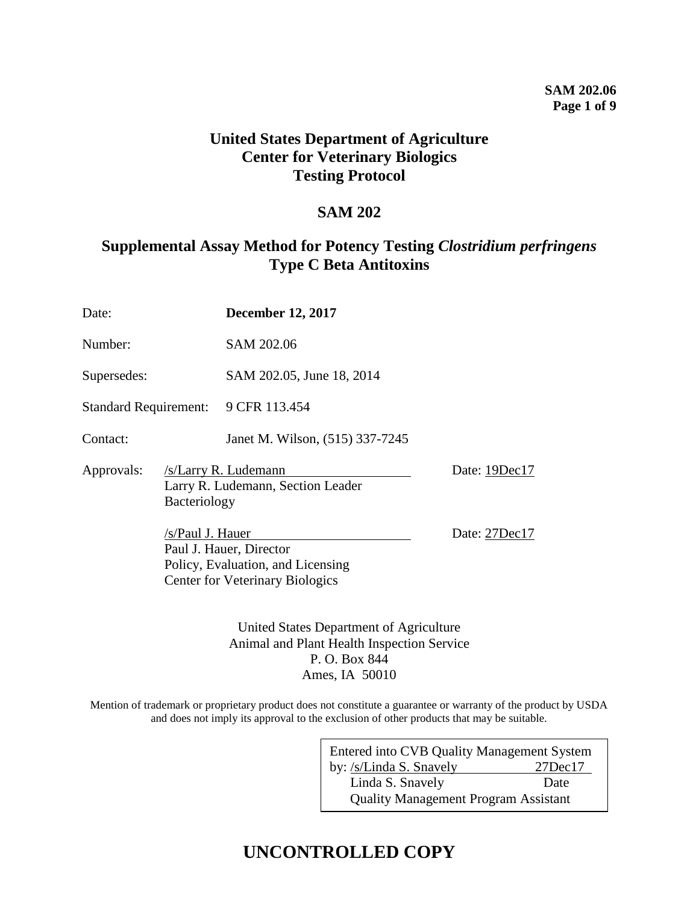### **SAM 202.06 Page 1 of 9**

# **United States Department of Agriculture Center for Veterinary Biologics Testing Protocol**

# **SAM 202**

# **Supplemental Assay Method for Potency Testing** *Clostridium perfringens* **Type C Beta Antitoxins**

| Date:                        |                                                                                                                            | <b>December 12, 2017</b>                                  |               |  |
|------------------------------|----------------------------------------------------------------------------------------------------------------------------|-----------------------------------------------------------|---------------|--|
| Number:                      |                                                                                                                            | SAM 202.06                                                |               |  |
| Supersedes:                  |                                                                                                                            | SAM 202.05, June 18, 2014                                 |               |  |
| <b>Standard Requirement:</b> |                                                                                                                            | 9 CFR 113.454                                             |               |  |
| Contact:                     |                                                                                                                            | Janet M. Wilson, (515) 337-7245                           |               |  |
| Approvals:<br>Bacteriology   |                                                                                                                            | /s/Larry R. Ludemann<br>Larry R. Ludemann, Section Leader | Date: 19Dec17 |  |
|                              | /s/Paul J. Hauer<br>Paul J. Hauer, Director<br>Policy, Evaluation, and Licensing<br><b>Center for Veterinary Biologics</b> |                                                           | Date: 27Dec17 |  |

United States Department of Agriculture Animal and Plant Health Inspection Service P. O. Box 844 Ames, IA 50010

Mention of trademark or proprietary product does not constitute a guarantee or warranty of the product by USDA and does not imply its approval to the exclusion of other products that may be suitable.

| Entered into CVB Quality Management System  |               |  |  |  |
|---------------------------------------------|---------------|--|--|--|
| by: /s/Linda S. Snavely                     | $27$ Dec $17$ |  |  |  |
| Linda S. Snavely                            | Date          |  |  |  |
| <b>Quality Management Program Assistant</b> |               |  |  |  |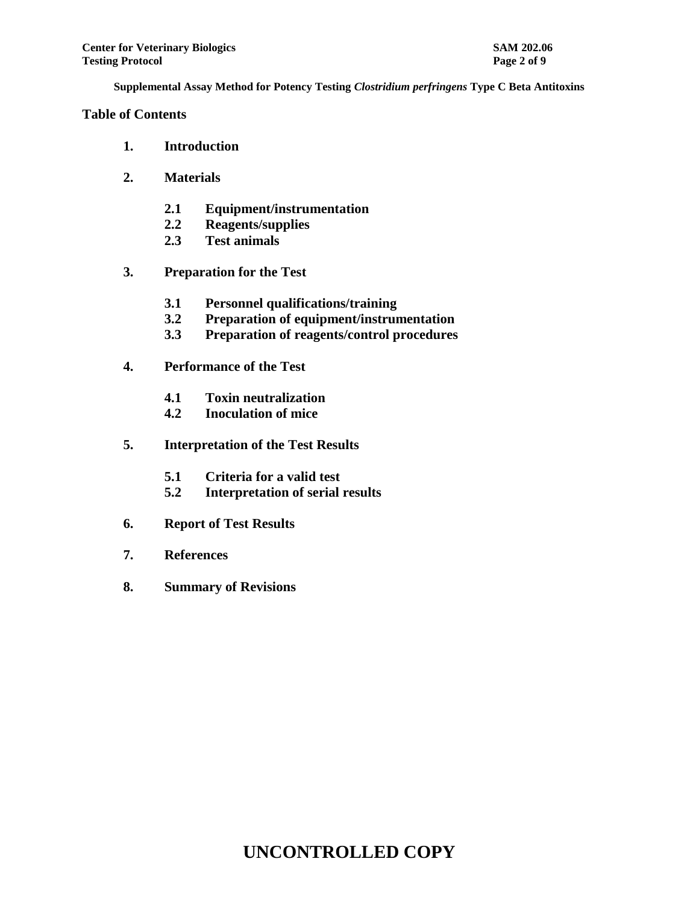## **Table of Contents**

- **1. Introduction**
- **2. Materials**
	- **2.1 Equipment/instrumentation**
	- **2.2 Reagents/supplies**
	- **2.3 Test animals**
- **3. Preparation for the Test**
	- **3.1 Personnel qualifications/training**
	- **3.2 Preparation of equipment/instrumentation**
	- **3.3 Preparation of reagents/control procedures**
- **4. Performance of the Test**
	- **4.1 Toxin neutralization**
	- **4.2 Inoculation of mice**
- **5. Interpretation of the Test Results**
	- **5.1 Criteria for a valid test**
	- **5.2 Interpretation of serial results**
- **6. Report of Test Results**
- **7. References**
- **8. Summary of Revisions**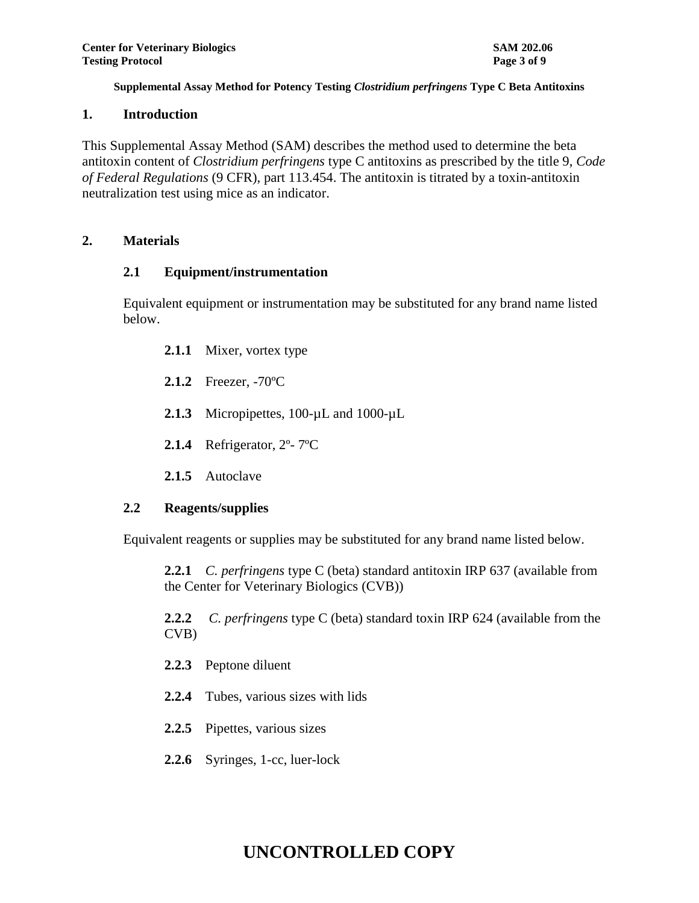### **1. Introduction**

This Supplemental Assay Method (SAM) describes the method used to determine the beta antitoxin content of *Clostridium perfringens* type C antitoxins as prescribed by the title 9, *Code of Federal Regulations* (9 CFR), part 113.454. The antitoxin is titrated by a toxin-antitoxin neutralization test using mice as an indicator.

## **2. Materials**

## **2.1 Equipment/instrumentation**

Equivalent equipment or instrumentation may be substituted for any brand name listed below.

- **2.1.1** Mixer, vortex type
- **2.1.2** Freezer, -70ºC
- **2.1.3** Micropipettes, 100-µL and 1000-µL
- **2.1.4** Refrigerator, 2º- 7ºC
- **2.1.5** Autoclave

## **2.2 Reagents/supplies**

Equivalent reagents or supplies may be substituted for any brand name listed below.

**2.2.1** *C. perfringens* type C (beta) standard antitoxin IRP 637 (available from the Center for Veterinary Biologics (CVB))

**2.2.2** *C. perfringens* type C (beta) standard toxin IRP 624 (available from the CVB)

- **2.2.3** Peptone diluent
- **2.2.4** Tubes, various sizes with lids
- **2.2.5** Pipettes, various sizes
- **2.2.6** Syringes, 1-cc, luer-lock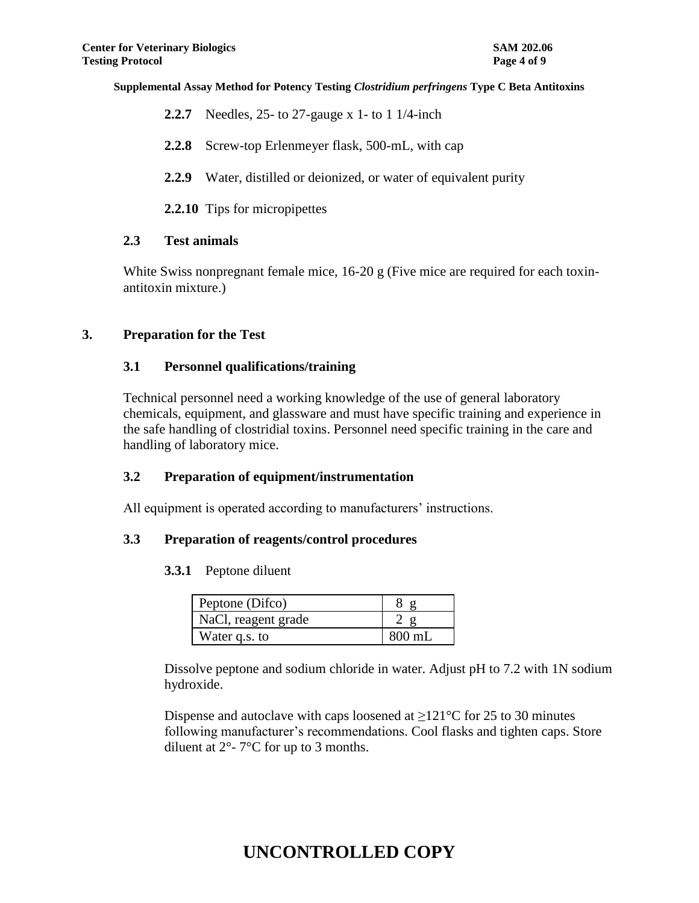- **2.2.7** Needles, 25- to 27-gauge x 1- to 1 1/4-inch
- **2.2.8** Screw-top Erlenmeyer flask, 500-mL, with cap
- **2.2.9** Water, distilled or deionized, or water of equivalent purity
- **2.2.10** Tips for micropipettes

### **2.3 Test animals**

White Swiss nonpregnant female mice, 16-20 g (Five mice are required for each toxinantitoxin mixture.)

### **3. Preparation for the Test**

### **3.1 Personnel qualifications/training**

Technical personnel need a working knowledge of the use of general laboratory chemicals, equipment, and glassware and must have specific training and experience in the safe handling of clostridial toxins. Personnel need specific training in the care and handling of laboratory mice.

## **3.2 Preparation of equipment/instrumentation**

All equipment is operated according to manufacturers' instructions.

### **3.3 Preparation of reagents/control procedures**

## **3.3.1** Peptone diluent

| Peptone (Difco)     |          |
|---------------------|----------|
| NaCl, reagent grade |          |
| Water q.s. to       | $800$ mL |

Dissolve peptone and sodium chloride in water. Adjust pH to 7.2 with 1N sodium hydroxide.

Dispense and autoclave with caps loosened at  $>121^{\circ}$ C for 25 to 30 minutes following manufacturer's recommendations. Cool flasks and tighten caps. Store diluent at  $2^{\circ}$ - 7°C for up to 3 months.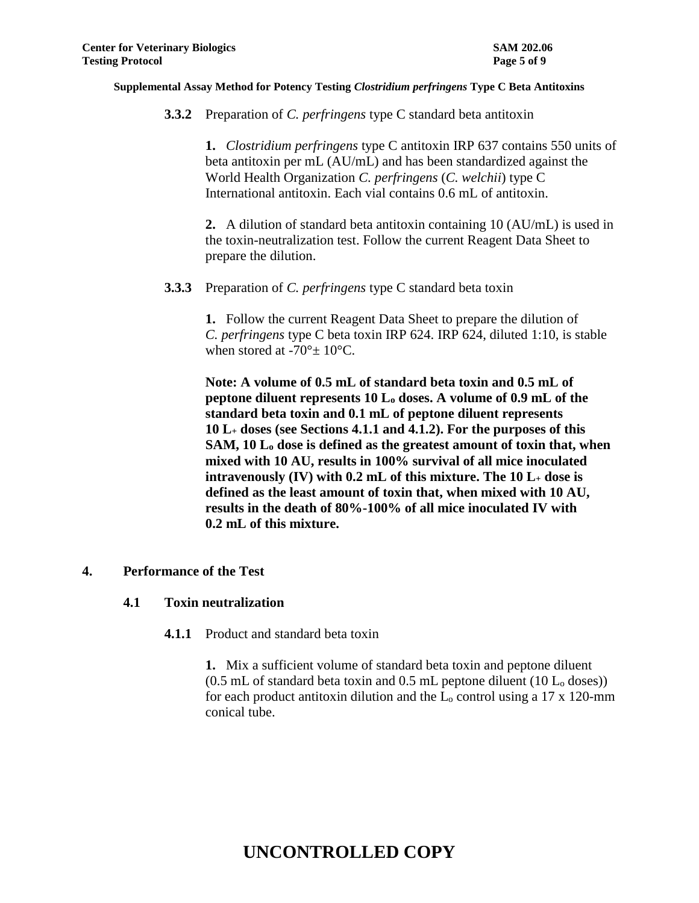**3.3.2** Preparation of *C. perfringens* type C standard beta antitoxin

**1.** *Clostridium perfringens* type C antitoxin IRP 637 contains 550 units of beta antitoxin per mL (AU/mL) and has been standardized against the World Health Organization *C. perfringens* (*C. welchii*) type C International antitoxin. Each vial contains 0.6 mL of antitoxin.

**2.** A dilution of standard beta antitoxin containing 10 (AU/mL) is used in the toxin-neutralization test. Follow the current Reagent Data Sheet to prepare the dilution.

**3.3.3** Preparation of *C. perfringens* type C standard beta toxin

**1.** Follow the current Reagent Data Sheet to prepare the dilution of *C. perfringens* type C beta toxin IRP 624. IRP 624, diluted 1:10, is stable when stored at -70 $^{\circ}$  ± 10 $^{\circ}$ C.

**Note: A volume of 0.5 mL of standard beta toxin and 0.5 mL of peptone diluent represents 10 L<sup>o</sup> doses. A volume of 0.9 mL of the standard beta toxin and 0.1 mL of peptone diluent represents 10 L<sup>+</sup> doses (see Sections 4.1.1 and 4.1.2). For the purposes of this SAM, 10 L<sup>o</sup> dose is defined as the greatest amount of toxin that, when mixed with 10 AU, results in 100% survival of all mice inoculated intravenously (IV) with 0.2 mL of this mixture. The 10 L<sup>+</sup> dose is defined as the least amount of toxin that, when mixed with 10 AU, results in the death of 80%-100% of all mice inoculated IV with 0.2 mL of this mixture.**

## **4. Performance of the Test**

### **4.1 Toxin neutralization**

**4.1.1** Product and standard beta toxin

**1.** Mix a sufficient volume of standard beta toxin and peptone diluent  $(0.5$  mL of standard beta toxin and 0.5 mL peptone diluent  $(10 L_0$  doses)) for each product antitoxin dilution and the  $L_0$  control using a 17 x 120-mm conical tube.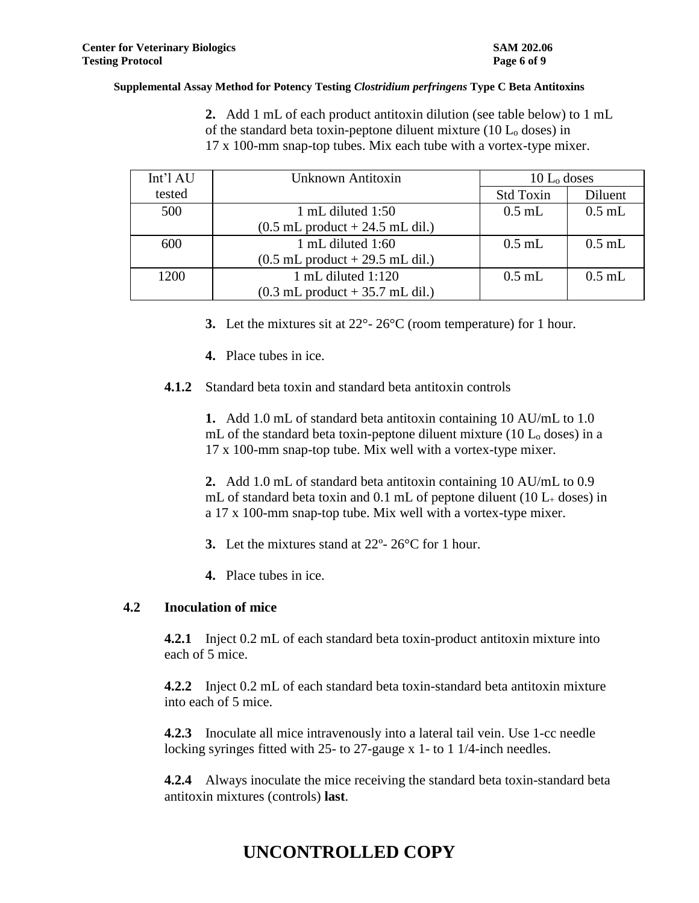**2.** Add 1 mL of each product antitoxin dilution (see table below) to 1 mL of the standard beta toxin-peptone diluent mixture (10 L<sup>o</sup> doses) in 17 x 100-mm snap-top tubes. Mix each tube with a vortex-type mixer.

| Int'1AU | Unknown Antitoxin                                   | $10 Lo$ doses |          |
|---------|-----------------------------------------------------|---------------|----------|
| tested  |                                                     | Std Toxin     | Diluent  |
| 500     | 1 mL diluted $1:50$                                 | $0.5$ mL      | $0.5$ mL |
|         | $(0.5$ mL product $+ 24.5$ mL dil.)                 |               |          |
| 600     | 1 mL diluted 1:60                                   | $0.5$ mL      | $0.5$ mL |
|         | $(0.5$ mL product $+ 29.5$ mL dil.)                 |               |          |
| 1200    | 1 mL diluted $1:120$                                | $0.5$ mL      | $0.5$ mL |
|         | $(0.3 \text{ mL}$ product $+ 35.7 \text{ mL}$ dil.) |               |          |

- **3.** Let the mixtures sit at 22°- 26°C (room temperature) for 1 hour.
- **4.** Place tubes in ice.
- **4.1.2** Standard beta toxin and standard beta antitoxin controls

**1.** Add 1.0 mL of standard beta antitoxin containing 10 AU/mL to 1.0 mL of the standard beta toxin-peptone diluent mixture (10  $L_0$  doses) in a 17 x 100-mm snap-top tube. Mix well with a vortex-type mixer.

**2.** Add 1.0 mL of standard beta antitoxin containing 10 AU/mL to 0.9 mL of standard beta toxin and 0.1 mL of peptone diluent (10  $L_{+}$  doses) in a 17 x 100-mm snap-top tube. Mix well with a vortex-type mixer.

- **3.** Let the mixtures stand at 22º- 26°C for 1 hour.
- **4.** Place tubes in ice.

## **4.2 Inoculation of mice**

**4.2.1** Inject 0.2 mL of each standard beta toxin-product antitoxin mixture into each of 5 mice.

**4.2.2** Inject 0.2 mL of each standard beta toxin-standard beta antitoxin mixture into each of 5 mice.

**4.2.3** Inoculate all mice intravenously into a lateral tail vein. Use 1-cc needle locking syringes fitted with 25- to 27-gauge x 1- to 1 1/4-inch needles.

**4.2.4** Always inoculate the mice receiving the standard beta toxin-standard beta antitoxin mixtures (controls) **last**.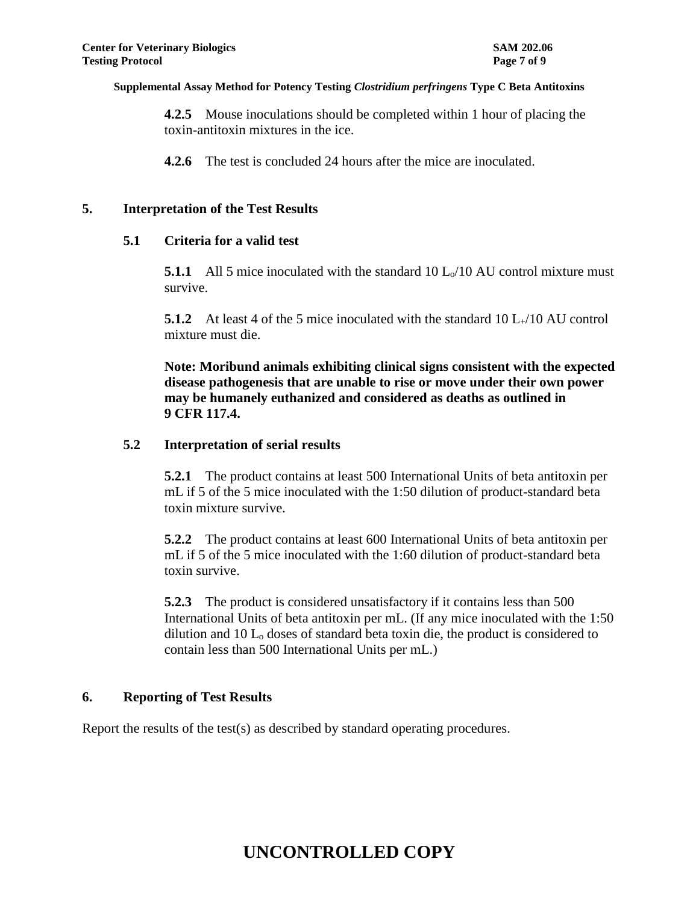**4.2.5** Mouse inoculations should be completed within 1 hour of placing the toxin-antitoxin mixtures in the ice.

**4.2.6** The test is concluded 24 hours after the mice are inoculated.

### **5. Interpretation of the Test Results**

### **5.1 Criteria for a valid test**

**5.1.1** All 5 mice inoculated with the standard 10 L<sub>o</sub>/10 AU control mixture must survive.

**5.1.2** At least 4 of the 5 mice inoculated with the standard 10 L<sub>+</sub>/10 AU control mixture must die.

**Note: Moribund animals exhibiting clinical signs consistent with the expected disease pathogenesis that are unable to rise or move under their own power may be humanely euthanized and considered as deaths as outlined in 9 CFR 117.4.**

### **5.2 Interpretation of serial results**

**5.2.1** The product contains at least 500 International Units of beta antitoxin per mL if 5 of the 5 mice inoculated with the 1:50 dilution of product-standard beta toxin mixture survive.

**5.2.2** The product contains at least 600 International Units of beta antitoxin per mL if 5 of the 5 mice inoculated with the 1:60 dilution of product-standard beta toxin survive.

**5.2.3** The product is considered unsatisfactory if it contains less than 500 International Units of beta antitoxin per mL. (If any mice inoculated with the 1:50 dilution and 10 L<sup>o</sup> doses of standard beta toxin die, the product is considered to contain less than 500 International Units per mL.)

## **6. Reporting of Test Results**

Report the results of the test(s) as described by standard operating procedures.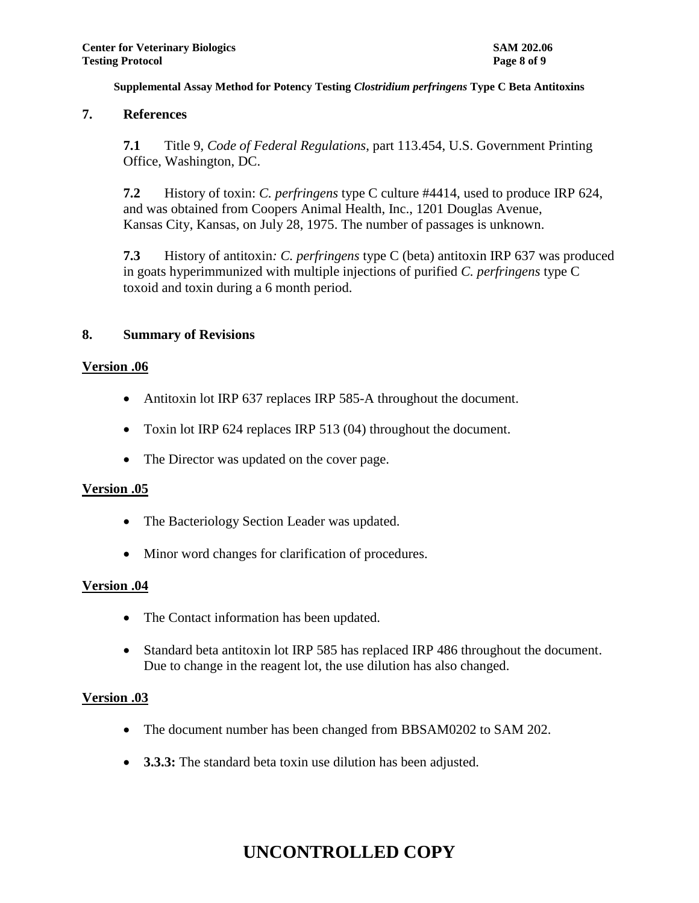## **7. References**

**7.1** Title 9, *Code of Federal Regulations*, part 113.454, U.S. Government Printing Office, Washington, DC.

**7.2** History of toxin: *C. perfringens* type C culture #4414, used to produce IRP 624, and was obtained from Coopers Animal Health, Inc., 1201 Douglas Avenue, Kansas City, Kansas, on July 28, 1975. The number of passages is unknown.

**7.3** History of antitoxin*: C. perfringens* type C (beta) antitoxin IRP 637 was produced in goats hyperimmunized with multiple injections of purified *C. perfringens* type C toxoid and toxin during a 6 month period.

## **8. Summary of Revisions**

### **Version .06**

- Antitoxin lot IRP 637 replaces IRP 585-A throughout the document.
- Toxin lot IRP 624 replaces IRP 513 (04) throughout the document.
- The Director was updated on the cover page.

## **Version .05**

- The Bacteriology Section Leader was updated.
- Minor word changes for clarification of procedures.

## **Version .04**

- The Contact information has been updated.
- Standard beta antitoxin lot IRP 585 has replaced IRP 486 throughout the document. Due to change in the reagent lot, the use dilution has also changed.

### **Version .03**

- The document number has been changed from BBSAM0202 to SAM 202.
- **3.3.3:** The standard beta toxin use dilution has been adjusted.